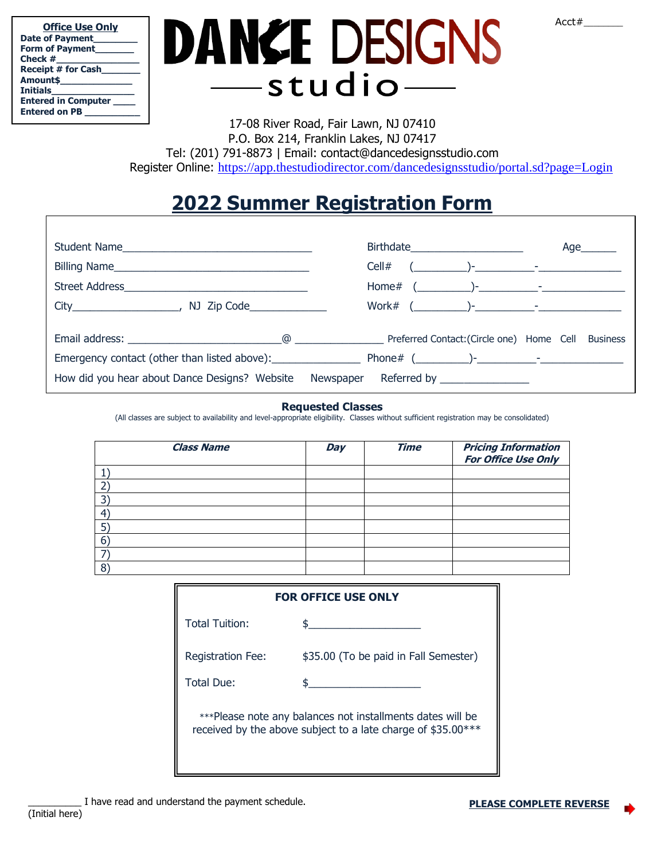| АC<br>– |
|---------|
|---------|

| <b>Office Use Only</b>        |
|-------------------------------|
| Date of Payment_              |
| Form of Payment               |
| Check #                       |
| <b>Receipt # for Cash</b>     |
| Amount\$                      |
| <b>Initials</b>               |
| <b>Entered in Computer __</b> |
| <b>Entered on PB</b>          |

## DANCE DESIGNS studio-

17-08 River Road, Fair Lawn, NJ 07410 P.O. Box 214, Franklin Lakes, NJ 07417 Tel: (201) 791-8873 | Email: contact@dancedesignsstudio.com Register Online: <https://app.thestudiodirector.com/dancedesignsstudio/portal.sd?page=Login>

## **2022 Summer Registration Form**

| Student Name                                                                     | Birthdate_______________________                                                                                                                                                                                                                                                               | Age $\qquad$ |
|----------------------------------------------------------------------------------|------------------------------------------------------------------------------------------------------------------------------------------------------------------------------------------------------------------------------------------------------------------------------------------------|--------------|
|                                                                                  | $(\begin{array}{c c} \begin{array}{c} \begin{array}{c} \end{array} \end{array} \end{array} \begin{array}{c} \begin{array}{c} \end{array} \end{array} \begin{array}{c} \end{array} \begin{array}{c} \end{array} \end{array} \begin{array}{c} \begin{array}{c} \end{array} \end{array}$<br>Cell# |              |
|                                                                                  |                                                                                                                                                                                                                                                                                                |              |
| $City$ /<br>NJ Zip Code_______________                                           |                                                                                                                                                                                                                                                                                                |              |
|                                                                                  |                                                                                                                                                                                                                                                                                                |              |
|                                                                                  |                                                                                                                                                                                                                                                                                                |              |
| How did you hear about Dance Designs? Website Newspaper Referred by ____________ |                                                                                                                                                                                                                                                                                                |              |

## **Requested Classes**

(All classes are subject to availability and level-appropriate eligibility. Classes without sufficient registration may be consolidated)

| <b>Class Name</b> | Day | <b>Time</b> | <b>Pricing Information<br/>For Office Use Only</b> |
|-------------------|-----|-------------|----------------------------------------------------|
|                   |     |             |                                                    |
|                   |     |             |                                                    |
|                   |     |             |                                                    |
|                   |     |             |                                                    |
|                   |     |             |                                                    |
|                   |     |             |                                                    |
|                   |     |             |                                                    |
| 8                 |     |             |                                                    |

| <b>FOR OFFICE USE ONLY</b>                                                                                                 |                                       |  |  |  |
|----------------------------------------------------------------------------------------------------------------------------|---------------------------------------|--|--|--|
| <b>Total Tuition:</b>                                                                                                      |                                       |  |  |  |
| <b>Registration Fee:</b>                                                                                                   | \$35.00 (To be paid in Fall Semester) |  |  |  |
| Total Due:                                                                                                                 |                                       |  |  |  |
| ***Please note any balances not installments dates will be<br>received by the above subject to a late charge of \$35.00*** |                                       |  |  |  |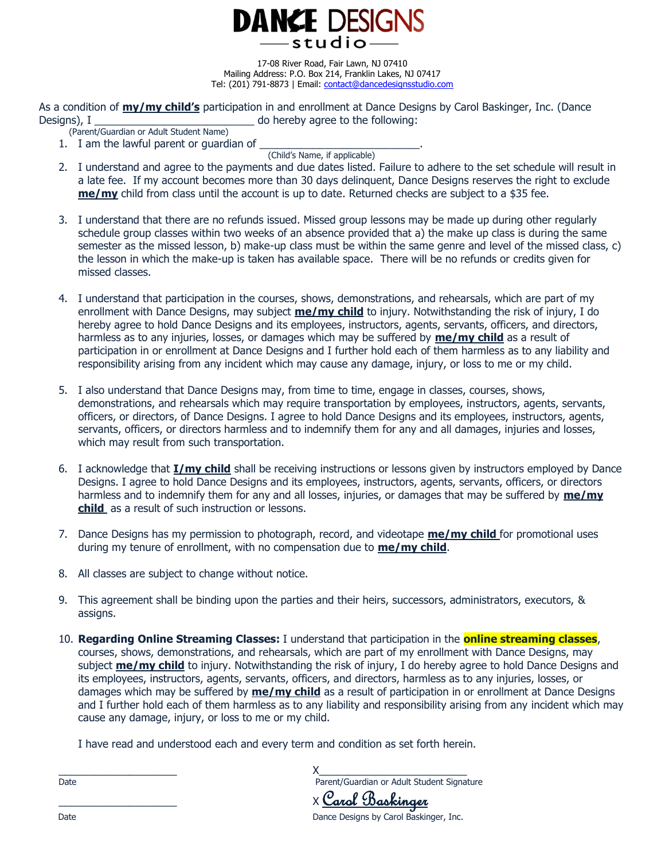**DANCE DESIGNS** -studio

17-08 River Road, Fair Lawn, NJ 07410 Mailing Address: P.O. Box 214, Franklin Lakes, NJ 07417 Tel: (201) 791-8873 | Email: [contact@dancedesignsstudio.com](mailto:contact@dancedesignsstudio.com)

As a condition of **my/my child's** participation in and enrollment at Dance Designs by Carol Baskinger, Inc. (Dance Designs), I **Designs**), I **and a structure of the following:** 

- (Parent/Guardian or Adult Student Name)
- 1. I am the lawful parent or quardian of

(Child's Name, if applicable)

- 2. I understand and agree to the payments and due dates listed. Failure to adhere to the set schedule will result in a late fee. If my account becomes more than 30 days delinquent, Dance Designs reserves the right to exclude **me/my** child from class until the account is up to date. Returned checks are subject to a \$35 fee.
- 3. I understand that there are no refunds issued. Missed group lessons may be made up during other regularly schedule group classes within two weeks of an absence provided that a) the make up class is during the same semester as the missed lesson, b) make-up class must be within the same genre and level of the missed class, c) the lesson in which the make-up is taken has available space. There will be no refunds or credits given for missed classes.
- 4. I understand that participation in the courses, shows, demonstrations, and rehearsals, which are part of my enrollment with Dance Designs, may subject **me/my child** to injury. Notwithstanding the risk of injury, I do hereby agree to hold Dance Designs and its employees, instructors, agents, servants, officers, and directors, harmless as to any injuries, losses, or damages which may be suffered by **me/my child** as a result of participation in or enrollment at Dance Designs and I further hold each of them harmless as to any liability and responsibility arising from any incident which may cause any damage, injury, or loss to me or my child.
- 5. I also understand that Dance Designs may, from time to time, engage in classes, courses, shows, demonstrations, and rehearsals which may require transportation by employees, instructors, agents, servants, officers, or directors, of Dance Designs. I agree to hold Dance Designs and its employees, instructors, agents, servants, officers, or directors harmless and to indemnify them for any and all damages, injuries and losses, which may result from such transportation.
- 6. I acknowledge that **I/my child** shall be receiving instructions or lessons given by instructors employed by Dance Designs. I agree to hold Dance Designs and its employees, instructors, agents, servants, officers, or directors harmless and to indemnify them for any and all losses, injuries, or damages that may be suffered by **me/my child** as a result of such instruction or lessons.
- 7. Dance Designs has my permission to photograph, record, and videotape **me/my child** for promotional uses during my tenure of enrollment, with no compensation due to **me/my child**.
- 8. All classes are subject to change without notice.
- 9. This agreement shall be binding upon the parties and their heirs, successors, administrators, executors, & assigns.
- 10. **Regarding Online Streaming Classes:** I understand that participation in the **online streaming classes**, courses, shows, demonstrations, and rehearsals, which are part of my enrollment with Dance Designs, may subject **me/my child** to injury. Notwithstanding the risk of injury, I do hereby agree to hold Dance Designs and its employees, instructors, agents, servants, officers, and directors, harmless as to any injuries, losses, or damages which may be suffered by **me/my child** as a result of participation in or enrollment at Dance Designs and I further hold each of them harmless as to any liability and responsibility arising from any incident which may cause any damage, injury, or loss to me or my child.

I have read and understood each and every term and condition as set forth herein.

| Date | Parent/Guardian or Adult Student Signature |
|------|--------------------------------------------|
|      | X Carol Baskinger                          |